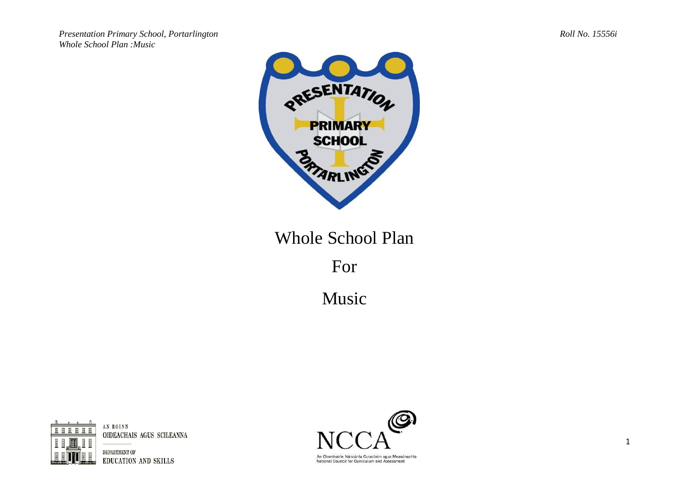*Presentation Primary School, Portarlington Roll No. 15556i Whole School Plan :Music*



## Whole School Plan

For

Music



OIDEACHAIS AGUS SCILEANNA

DEPARTMENT OF EDUCATION AND SKILLS



National Council for Curriculum and Assessment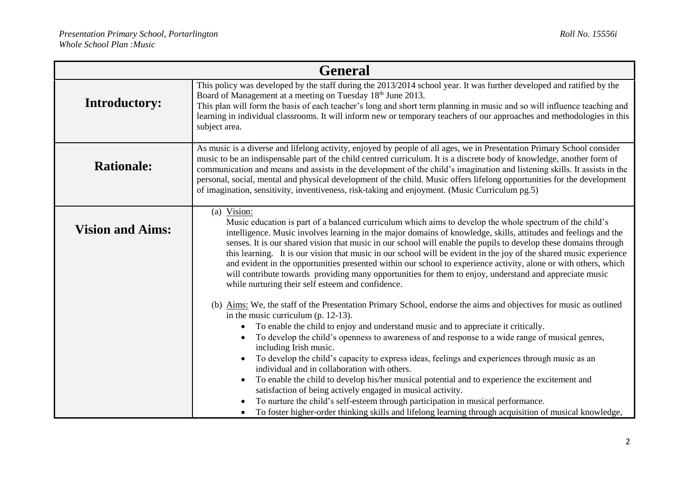| <b>General</b>          |                                                                                                                                                                                                                                                                                                                                                                                                                                                                                                                                                                                                                                                                                                                                                                                                                                                                                                                                         |  |
|-------------------------|-----------------------------------------------------------------------------------------------------------------------------------------------------------------------------------------------------------------------------------------------------------------------------------------------------------------------------------------------------------------------------------------------------------------------------------------------------------------------------------------------------------------------------------------------------------------------------------------------------------------------------------------------------------------------------------------------------------------------------------------------------------------------------------------------------------------------------------------------------------------------------------------------------------------------------------------|--|
| <b>Introductory:</b>    | This policy was developed by the staff during the 2013/2014 school year. It was further developed and ratified by the<br>Board of Management at a meeting on Tuesday 18 <sup>th</sup> June 2013.<br>This plan will form the basis of each teacher's long and short term planning in music and so will influence teaching and<br>learning in individual classrooms. It will inform new or temporary teachers of our approaches and methodologies in this<br>subject area.                                                                                                                                                                                                                                                                                                                                                                                                                                                                |  |
| <b>Rationale:</b>       | As music is a diverse and lifelong activity, enjoyed by people of all ages, we in Presentation Primary School consider<br>music to be an indispensable part of the child centred curriculum. It is a discrete body of knowledge, another form of<br>communication and means and assists in the development of the child's imagination and listening skills. It assists in the<br>personal, social, mental and physical development of the child. Music offers lifelong opportunities for the development<br>of imagination, sensitivity, inventiveness, risk-taking and enjoyment. (Music Curriculum pg.5)                                                                                                                                                                                                                                                                                                                              |  |
| <b>Vision and Aims:</b> | (a) Vision:<br>Music education is part of a balanced curriculum which aims to develop the whole spectrum of the child's<br>intelligence. Music involves learning in the major domains of knowledge, skills, attitudes and feelings and the<br>senses. It is our shared vision that music in our school will enable the pupils to develop these domains through<br>this learning. It is our vision that music in our school will be evident in the joy of the shared music experience<br>and evident in the opportunities presented within our school to experience activity, alone or with others, which<br>will contribute towards providing many opportunities for them to enjoy, understand and appreciate music<br>while nurturing their self esteem and confidence.<br>(b) Aims: We, the staff of the Presentation Primary School, endorse the aims and objectives for music as outlined<br>in the music curriculum (p. $12-13$ ). |  |
|                         | To enable the child to enjoy and understand music and to appreciate it critically.<br>To develop the child's openness to awareness of and response to a wide range of musical genres,<br>including Irish music.<br>To develop the child's capacity to express ideas, feelings and experiences through music as an<br>individual and in collaboration with others.<br>To enable the child to develop his/her musical potential and to experience the excitement and<br>satisfaction of being actively engaged in musical activity.<br>To nurture the child's self-esteem through participation in musical performance.<br>To foster higher-order thinking skills and lifelong learning through acquisition of musical knowledge,                                                                                                                                                                                                         |  |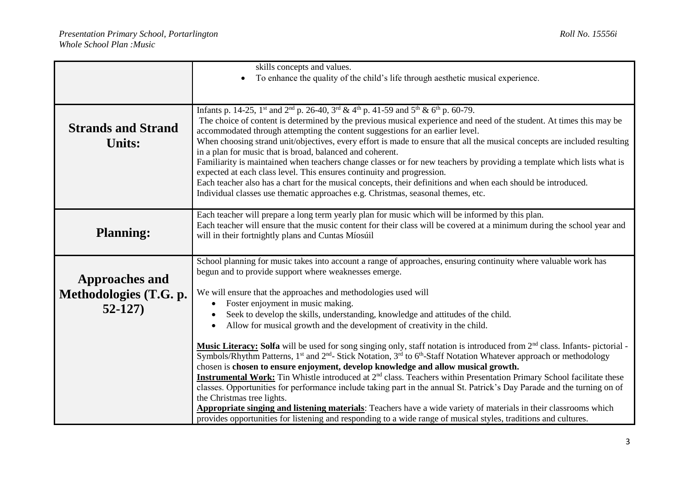|                                                             | skills concepts and values.                                                                                                                                                                                                                                                                                                                                                                                                                                                                                                                                                                                                                                                                                                                                                                                                                                                                                                                                  |  |
|-------------------------------------------------------------|--------------------------------------------------------------------------------------------------------------------------------------------------------------------------------------------------------------------------------------------------------------------------------------------------------------------------------------------------------------------------------------------------------------------------------------------------------------------------------------------------------------------------------------------------------------------------------------------------------------------------------------------------------------------------------------------------------------------------------------------------------------------------------------------------------------------------------------------------------------------------------------------------------------------------------------------------------------|--|
|                                                             | To enhance the quality of the child's life through aesthetic musical experience.                                                                                                                                                                                                                                                                                                                                                                                                                                                                                                                                                                                                                                                                                                                                                                                                                                                                             |  |
|                                                             |                                                                                                                                                                                                                                                                                                                                                                                                                                                                                                                                                                                                                                                                                                                                                                                                                                                                                                                                                              |  |
| <b>Strands and Strand</b><br><b>Units:</b>                  | Infants p. 14-25, 1 <sup>st</sup> and 2 <sup>nd</sup> p. 26-40, 3 <sup>rd</sup> & 4 <sup>th</sup> p. 41-59 and $5th$ & 6 <sup>th</sup> p. 60-79.<br>The choice of content is determined by the previous musical experience and need of the student. At times this may be<br>accommodated through attempting the content suggestions for an earlier level.<br>When choosing strand unit/objectives, every effort is made to ensure that all the musical concepts are included resulting<br>in a plan for music that is broad, balanced and coherent.<br>Familiarity is maintained when teachers change classes or for new teachers by providing a template which lists what is<br>expected at each class level. This ensures continuity and progression.<br>Each teacher also has a chart for the musical concepts, their definitions and when each should be introduced.<br>Individual classes use thematic approaches e.g. Christmas, seasonal themes, etc. |  |
| <b>Planning:</b>                                            | Each teacher will prepare a long term yearly plan for music which will be informed by this plan.<br>Each teacher will ensure that the music content for their class will be covered at a minimum during the school year and<br>will in their fortnightly plans and Cuntas Míosúil                                                                                                                                                                                                                                                                                                                                                                                                                                                                                                                                                                                                                                                                            |  |
| <b>Approaches and</b><br>Methodologies (T.G. p.<br>$52-127$ | School planning for music takes into account a range of approaches, ensuring continuity where valuable work has<br>begun and to provide support where weaknesses emerge.<br>We will ensure that the approaches and methodologies used will<br>Foster enjoyment in music making.<br>Seek to develop the skills, understanding, knowledge and attitudes of the child.<br>Allow for musical growth and the development of creativity in the child.<br>$\bullet$                                                                                                                                                                                                                                                                                                                                                                                                                                                                                                 |  |
|                                                             | Music Literacy: Solfa will be used for song singing only, staff notation is introduced from 2 <sup>nd</sup> class. Infants-pictorial -<br>Symbols/Rhythm Patterns, 1 <sup>st</sup> and 2 <sup>nd</sup> - Stick Notation, 3 <sup>rd</sup> to 6 <sup>th</sup> -Staff Notation Whatever approach or methodology<br>chosen is chosen to ensure enjoyment, develop knowledge and allow musical growth.<br><b>Instrumental Work:</b> Tin Whistle introduced at 2 <sup>nd</sup> class. Teachers within Presentation Primary School facilitate these<br>classes. Opportunities for performance include taking part in the annual St. Patrick's Day Parade and the turning on of<br>the Christmas tree lights.<br><b>Appropriate singing and listening materials:</b> Teachers have a wide variety of materials in their classrooms which<br>provides opportunities for listening and responding to a wide range of musical styles, traditions and cultures.          |  |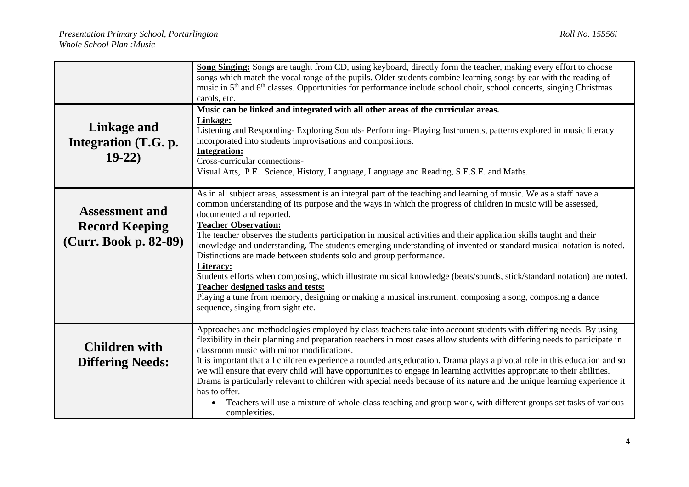|                                                                         | Song Singing: Songs are taught from CD, using keyboard, directly form the teacher, making every effort to choose<br>songs which match the vocal range of the pupils. Older students combine learning songs by ear with the reading of<br>music in 5 <sup>th</sup> and 6 <sup>th</sup> classes. Opportunities for performance include school choir, school concerts, singing Christmas<br>carols, etc.                                                                                                                                                                                                                                                                                                                                                                                                                                                                                                                                             |  |  |
|-------------------------------------------------------------------------|---------------------------------------------------------------------------------------------------------------------------------------------------------------------------------------------------------------------------------------------------------------------------------------------------------------------------------------------------------------------------------------------------------------------------------------------------------------------------------------------------------------------------------------------------------------------------------------------------------------------------------------------------------------------------------------------------------------------------------------------------------------------------------------------------------------------------------------------------------------------------------------------------------------------------------------------------|--|--|
| <b>Linkage and</b><br>Integration (T.G. p.<br>$19-22)$                  | Music can be linked and integrated with all other areas of the curricular areas.<br><b>Linkage:</b><br>Listening and Responding-Exploring Sounds-Performing-Playing Instruments, patterns explored in music literacy<br>incorporated into students improvisations and compositions.<br><b>Integration:</b><br>Cross-curricular connections-<br>Visual Arts, P.E. Science, History, Language, Language and Reading, S.E.S.E. and Maths.                                                                                                                                                                                                                                                                                                                                                                                                                                                                                                            |  |  |
| <b>Assessment and</b><br><b>Record Keeping</b><br>(Curr. Book p. 82-89) | As in all subject areas, assessment is an integral part of the teaching and learning of music. We as a staff have a<br>common understanding of its purpose and the ways in which the progress of children in music will be assessed,<br>documented and reported.<br><b>Teacher Observation:</b><br>The teacher observes the students participation in musical activities and their application skills taught and their<br>knowledge and understanding. The students emerging understanding of invented or standard musical notation is noted.<br>Distinctions are made between students solo and group performance.<br>Literacy:<br>Students efforts when composing, which illustrate musical knowledge (beats/sounds, stick/standard notation) are noted.<br>Teacher designed tasks and tests:<br>Playing a tune from memory, designing or making a musical instrument, composing a song, composing a dance<br>sequence, singing from sight etc. |  |  |
| <b>Children with</b><br><b>Differing Needs:</b>                         | Approaches and methodologies employed by class teachers take into account students with differing needs. By using<br>flexibility in their planning and preparation teachers in most cases allow students with differing needs to participate in<br>classroom music with minor modifications.<br>It is important that all children experience a rounded arts education. Drama plays a pivotal role in this education and so<br>we will ensure that every child will have opportunities to engage in learning activities appropriate to their abilities.<br>Drama is particularly relevant to children with special needs because of its nature and the unique learning experience it<br>has to offer.<br>Teachers will use a mixture of whole-class teaching and group work, with different groups set tasks of various<br>$\bullet$<br>complexities.                                                                                              |  |  |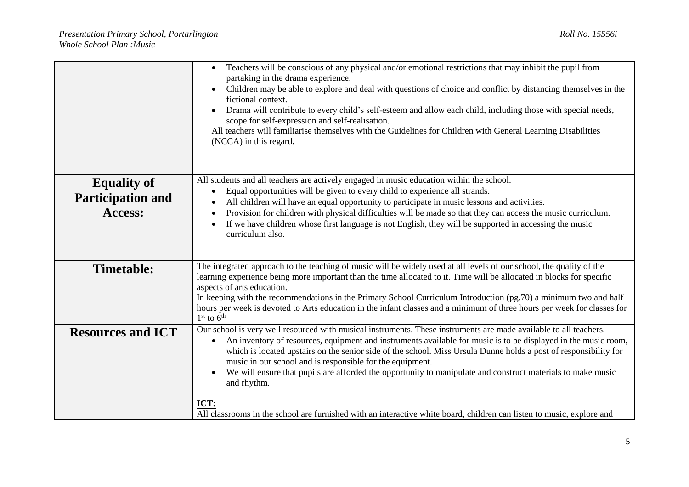|                          | Teachers will be conscious of any physical and/or emotional restrictions that may inhibit the pupil from<br>partaking in the drama experience.<br>Children may be able to explore and deal with questions of choice and conflict by distancing themselves in the<br>٠<br>fictional context.<br>Drama will contribute to every child's self-esteem and allow each child, including those with special needs,<br>scope for self-expression and self-realisation.<br>All teachers will familiarise themselves with the Guidelines for Children with General Learning Disabilities<br>(NCCA) in this regard. |  |  |
|--------------------------|----------------------------------------------------------------------------------------------------------------------------------------------------------------------------------------------------------------------------------------------------------------------------------------------------------------------------------------------------------------------------------------------------------------------------------------------------------------------------------------------------------------------------------------------------------------------------------------------------------|--|--|
| <b>Equality of</b>       | All students and all teachers are actively engaged in music education within the school.<br>Equal opportunities will be given to every child to experience all strands.<br>$\bullet$                                                                                                                                                                                                                                                                                                                                                                                                                     |  |  |
| <b>Participation and</b> | All children will have an equal opportunity to participate in music lessons and activities.                                                                                                                                                                                                                                                                                                                                                                                                                                                                                                              |  |  |
| Access:                  | Provision for children with physical difficulties will be made so that they can access the music curriculum.                                                                                                                                                                                                                                                                                                                                                                                                                                                                                             |  |  |
|                          | If we have children whose first language is not English, they will be supported in accessing the music<br>$\bullet$                                                                                                                                                                                                                                                                                                                                                                                                                                                                                      |  |  |
|                          | curriculum also.                                                                                                                                                                                                                                                                                                                                                                                                                                                                                                                                                                                         |  |  |
|                          |                                                                                                                                                                                                                                                                                                                                                                                                                                                                                                                                                                                                          |  |  |
| <b>Timetable:</b>        | The integrated approach to the teaching of music will be widely used at all levels of our school, the quality of the                                                                                                                                                                                                                                                                                                                                                                                                                                                                                     |  |  |
|                          | learning experience being more important than the time allocated to it. Time will be allocated in blocks for specific<br>aspects of arts education.                                                                                                                                                                                                                                                                                                                                                                                                                                                      |  |  |
|                          | In keeping with the recommendations in the Primary School Curriculum Introduction (pg.70) a minimum two and half                                                                                                                                                                                                                                                                                                                                                                                                                                                                                         |  |  |
|                          | hours per week is devoted to Arts education in the infant classes and a minimum of three hours per week for classes for                                                                                                                                                                                                                                                                                                                                                                                                                                                                                  |  |  |
| <b>Resources and ICT</b> | $1st$ to $6th$<br>Our school is very well resourced with musical instruments. These instruments are made available to all teachers.                                                                                                                                                                                                                                                                                                                                                                                                                                                                      |  |  |
|                          | An inventory of resources, equipment and instruments available for music is to be displayed in the music room,<br>which is located upstairs on the senior side of the school. Miss Ursula Dunne holds a post of responsibility for<br>music in our school and is responsible for the equipment.                                                                                                                                                                                                                                                                                                          |  |  |
|                          | We will ensure that pupils are afforded the opportunity to manipulate and construct materials to make music<br>$\bullet$<br>and rhythm.                                                                                                                                                                                                                                                                                                                                                                                                                                                                  |  |  |
|                          | ICT:                                                                                                                                                                                                                                                                                                                                                                                                                                                                                                                                                                                                     |  |  |
|                          | All classrooms in the school are furnished with an interactive white board, children can listen to music, explore and                                                                                                                                                                                                                                                                                                                                                                                                                                                                                    |  |  |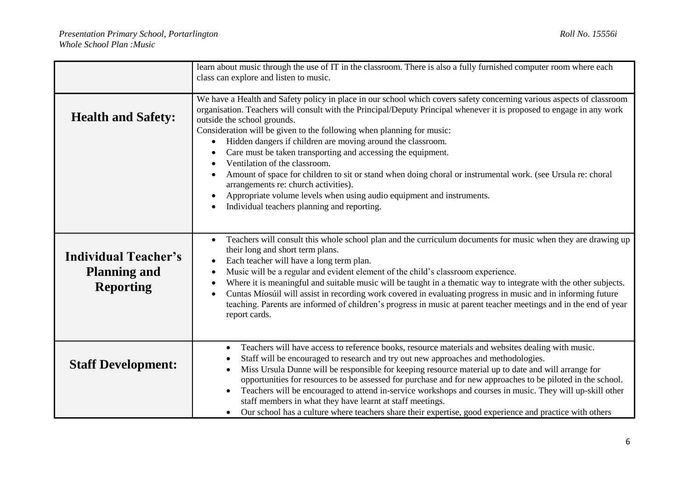|                                                                        | learn about music through the use of IT in the classroom. There is also a fully furnished computer room where each<br>class can explore and listen to music.                                                                                                                                                                                                                                                                                                                                                                                                                                                                                                                                                                                                                                                       |
|------------------------------------------------------------------------|--------------------------------------------------------------------------------------------------------------------------------------------------------------------------------------------------------------------------------------------------------------------------------------------------------------------------------------------------------------------------------------------------------------------------------------------------------------------------------------------------------------------------------------------------------------------------------------------------------------------------------------------------------------------------------------------------------------------------------------------------------------------------------------------------------------------|
| <b>Health and Safety:</b>                                              | We have a Health and Safety policy in place in our school which covers safety concerning various aspects of classroom<br>organisation. Teachers will consult with the Principal/Deputy Principal whenever it is proposed to engage in any work<br>outside the school grounds.<br>Consideration will be given to the following when planning for music:<br>Hidden dangers if children are moving around the classroom.<br>Care must be taken transporting and accessing the equipment.<br>Ventilation of the classroom.<br>Amount of space for children to sit or stand when doing choral or instrumental work. (see Ursula re: choral<br>arrangements re: church activities).<br>Appropriate volume levels when using audio equipment and instruments.<br>Individual teachers planning and reporting.<br>$\bullet$ |
| <b>Individual Teacher's</b><br><b>Planning and</b><br><b>Reporting</b> | Teachers will consult this whole school plan and the curriculum documents for music when they are drawing up<br>$\bullet$<br>their long and short term plans.<br>Each teacher will have a long term plan.<br>Music will be a regular and evident element of the child's classroom experience.<br>$\bullet$<br>Where it is meaningful and suitable music will be taught in a thematic way to integrate with the other subjects.<br>Cuntas Míosúil will assist in recording work covered in evaluating progress in music and in informing future<br>teaching. Parents are informed of children's progress in music at parent teacher meetings and in the end of year<br>report cards.                                                                                                                                |
| <b>Staff Development:</b>                                              | Teachers will have access to reference books, resource materials and websites dealing with music.<br>Staff will be encouraged to research and try out new approaches and methodologies.<br>Miss Ursula Dunne will be responsible for keeping resource material up to date and will arrange for<br>$\bullet$<br>opportunities for resources to be assessed for purchase and for new approaches to be piloted in the school.<br>Teachers will be encouraged to attend in-service workshops and courses in music. They will up-skill other<br>staff members in what they have learnt at staff meetings.<br>• Our school has a culture where teachers share their expertise, good experience and practice with others                                                                                                  |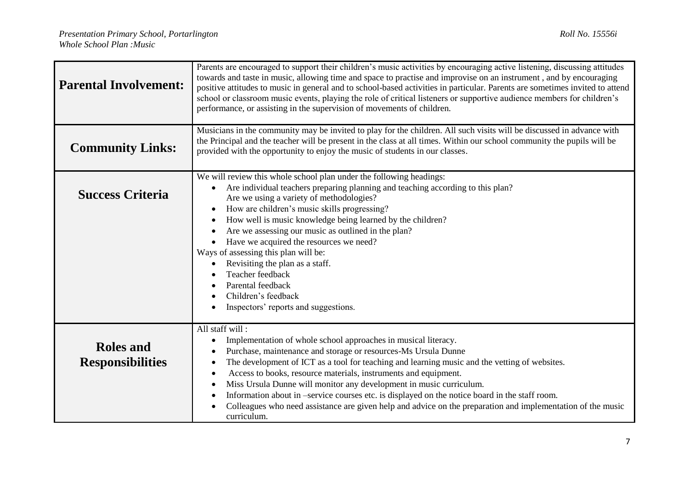| <b>Parental Involvement:</b>                | Parents are encouraged to support their children's music activities by encouraging active listening, discussing attitudes<br>towards and taste in music, allowing time and space to practise and improvise on an instrument, and by encouraging<br>positive attitudes to music in general and to school-based activities in particular. Parents are sometimes invited to attend<br>school or classroom music events, playing the role of critical listeners or supportive audience members for children's<br>performance, or assisting in the supervision of movements of children.                                                                                     |  |  |
|---------------------------------------------|-------------------------------------------------------------------------------------------------------------------------------------------------------------------------------------------------------------------------------------------------------------------------------------------------------------------------------------------------------------------------------------------------------------------------------------------------------------------------------------------------------------------------------------------------------------------------------------------------------------------------------------------------------------------------|--|--|
| <b>Community Links:</b>                     | Musicians in the community may be invited to play for the children. All such visits will be discussed in advance with<br>the Principal and the teacher will be present in the class at all times. Within our school community the pupils will be<br>provided with the opportunity to enjoy the music of students in our classes.                                                                                                                                                                                                                                                                                                                                        |  |  |
| <b>Success Criteria</b>                     | We will review this whole school plan under the following headings:<br>Are individual teachers preparing planning and teaching according to this plan?<br>$\bullet$<br>Are we using a variety of methodologies?<br>How are children's music skills progressing?<br>How well is music knowledge being learned by the children?<br>Are we assessing our music as outlined in the plan?<br>Have we acquired the resources we need?<br>Ways of assessing this plan will be:<br>Revisiting the plan as a staff.<br>Teacher feedback<br>Parental feedback<br>Children's feedback<br>Inspectors' reports and suggestions.                                                      |  |  |
| <b>Roles and</b><br><b>Responsibilities</b> | All staff will:<br>Implementation of whole school approaches in musical literacy.<br>٠<br>Purchase, maintenance and storage or resources-Ms Ursula Dunne<br>٠<br>The development of ICT as a tool for teaching and learning music and the vetting of websites.<br>$\bullet$<br>Access to books, resource materials, instruments and equipment.<br>$\bullet$<br>Miss Ursula Dunne will monitor any development in music curriculum.<br>Information about in -service courses etc. is displayed on the notice board in the staff room.<br>٠<br>Colleagues who need assistance are given help and advice on the preparation and implementation of the music<br>curriculum. |  |  |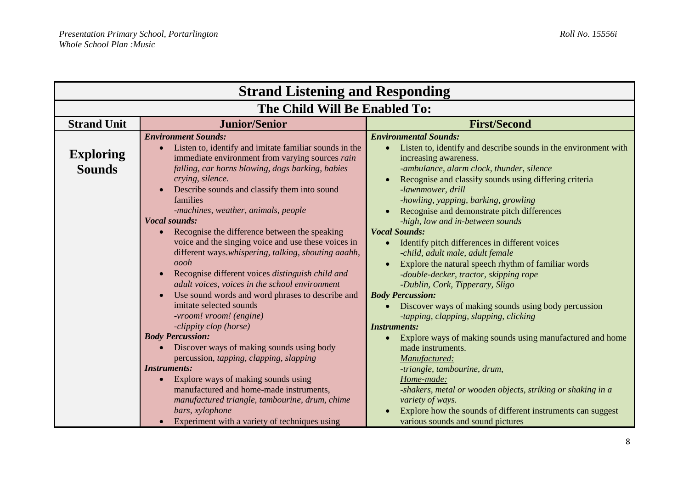| <b>Strand Listening and Responding</b> |                                                                                |                                                                                 |
|----------------------------------------|--------------------------------------------------------------------------------|---------------------------------------------------------------------------------|
| The Child Will Be Enabled To:          |                                                                                |                                                                                 |
| <b>Strand Unit</b>                     | <b>Junior/Senior</b>                                                           | <b>First/Second</b>                                                             |
|                                        | <b>Environment Sounds:</b>                                                     | <b>Environmental Sounds:</b>                                                    |
|                                        | Listen to, identify and imitate familiar sounds in the                         | Listen to, identify and describe sounds in the environment with                 |
| <b>Exploring</b>                       | immediate environment from varying sources rain                                | increasing awareness.                                                           |
| <b>Sounds</b>                          | falling, car horns blowing, dogs barking, babies                               | -ambulance, alarm clock, thunder, silence                                       |
|                                        | crying, silence.                                                               | Recognise and classify sounds using differing criteria                          |
|                                        | Describe sounds and classify them into sound                                   | -lawnmower, drill                                                               |
|                                        | families                                                                       | -howling, yapping, barking, growling                                            |
|                                        | -machines, weather, animals, people                                            | Recognise and demonstrate pitch differences                                     |
|                                        | <b>Vocal sounds:</b>                                                           | -high, low and in-between sounds                                                |
|                                        | Recognise the difference between the speaking                                  | <b>Vocal Sounds:</b>                                                            |
|                                        | voice and the singing voice and use these voices in                            | Identify pitch differences in different voices                                  |
|                                        | different ways.whispering, talking, shouting aaahh,                            | -child, adult male, adult female                                                |
|                                        | oooh                                                                           | Explore the natural speech rhythm of familiar words                             |
|                                        | Recognise different voices distinguish child and                               | -double-decker, tractor, skipping rope                                          |
|                                        | adult voices, voices in the school environment                                 | -Dublin, Cork, Tipperary, Sligo                                                 |
|                                        | Use sound words and word phrases to describe and                               | <b>Body Percussion:</b>                                                         |
|                                        | imitate selected sounds                                                        | Discover ways of making sounds using body percussion                            |
|                                        | -vroom! vroom! (engine)                                                        | -tapping, clapping, slapping, clicking                                          |
|                                        | -clippity clop (horse)                                                         | <b>Instruments:</b>                                                             |
|                                        | <b>Body Percussion:</b>                                                        | Explore ways of making sounds using manufactured and home<br>$\bullet$          |
|                                        | Discover ways of making sounds using body                                      | made instruments.                                                               |
|                                        | percussion, tapping, clapping, slapping                                        | Manufactured:                                                                   |
|                                        | <b>Instruments:</b>                                                            | -triangle, tambourine, drum,                                                    |
|                                        | Explore ways of making sounds using<br>manufactured and home-made instruments, | Home-made:                                                                      |
|                                        | manufactured triangle, tambourine, drum, chime                                 | -shakers, metal or wooden objects, striking or shaking in a<br>variety of ways. |
|                                        | bars, xylophone                                                                | Explore how the sounds of different instruments can suggest                     |
|                                        | Experiment with a variety of techniques using                                  | various sounds and sound pictures                                               |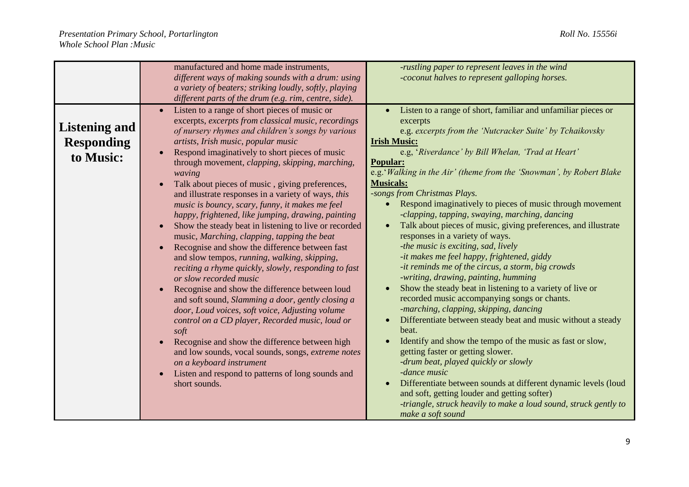|                      | manufactured and home made instruments,                                                       | -rustling paper to represent leaves in the wind                                                                  |
|----------------------|-----------------------------------------------------------------------------------------------|------------------------------------------------------------------------------------------------------------------|
|                      | different ways of making sounds with a drum: using                                            | -coconut halves to represent galloping horses.                                                                   |
|                      | a variety of beaters; striking loudly, softly, playing                                        |                                                                                                                  |
|                      | different parts of the drum (e.g. rim, centre, side).                                         |                                                                                                                  |
|                      | Listen to a range of short pieces of music or                                                 | Listen to a range of short, familiar and unfamiliar pieces or                                                    |
|                      | excerpts, excerpts from classical music, recordings                                           | excerpts                                                                                                         |
| <b>Listening and</b> | of nursery rhymes and children's songs by various                                             | e.g. excerpts from the 'Nutcracker Suite' by Tchaikovsky                                                         |
| <b>Responding</b>    | artists, Irish music, popular music                                                           | <b>Irish Music:</b>                                                                                              |
| to Music:            | Respond imaginatively to short pieces of music                                                | e.g, 'Riverdance' by Bill Whelan, 'Trad at Heart'                                                                |
|                      | through movement, <i>clapping</i> , <i>skipping</i> , <i>marching</i> ,                       | <b>Popular:</b>                                                                                                  |
|                      | waving                                                                                        | e.g.' Walking in the Air' (theme from the 'Snowman', by Robert Blake                                             |
|                      | Talk about pieces of music, giving preferences,                                               | <b>Musicals:</b>                                                                                                 |
|                      | and illustrate responses in a variety of ways, this                                           | -songs from Christmas Plays.                                                                                     |
|                      | music is bouncy, scary, funny, it makes me feel                                               | Respond imaginatively to pieces of music through movement                                                        |
|                      | happy, frightened, like jumping, drawing, painting                                            | -clapping, tapping, swaying, marching, dancing<br>Talk about pieces of music, giving preferences, and illustrate |
|                      | Show the steady beat in listening to live or recorded                                         | responses in a variety of ways.                                                                                  |
|                      | music, Marching, clapping, tapping the beat<br>Recognise and show the difference between fast | -the music is exciting, sad, lively                                                                              |
|                      | and slow tempos, running, walking, skipping,                                                  | -it makes me feel happy, frightened, giddy                                                                       |
|                      | reciting a rhyme quickly, slowly, responding to fast                                          | -it reminds me of the circus, a storm, big crowds                                                                |
|                      | or slow recorded music                                                                        | -writing, drawing, painting, humming                                                                             |
|                      | Recognise and show the difference between loud                                                | Show the steady beat in listening to a variety of live or                                                        |
|                      | and soft sound, Slamming a door, gently closing a                                             | recorded music accompanying songs or chants.                                                                     |
|                      | door, Loud voices, soft voice, Adjusting volume                                               | -marching, clapping, skipping, dancing                                                                           |
|                      | control on a CD player, Recorded music, loud or                                               | Differentiate between steady beat and music without a steady                                                     |
|                      | soft                                                                                          | beat.                                                                                                            |
|                      | Recognise and show the difference between high                                                | Identify and show the tempo of the music as fast or slow,                                                        |
|                      | and low sounds, vocal sounds, songs, extreme notes                                            | getting faster or getting slower.                                                                                |
|                      | on a keyboard instrument                                                                      | -drum beat, played quickly or slowly                                                                             |
|                      | Listen and respond to patterns of long sounds and                                             | -dance music                                                                                                     |
|                      | short sounds.                                                                                 | Differentiate between sounds at different dynamic levels (loud                                                   |
|                      |                                                                                               | and soft, getting louder and getting softer)                                                                     |
|                      |                                                                                               | -triangle, struck heavily to make a loud sound, struck gently to                                                 |
|                      |                                                                                               | make a soft sound                                                                                                |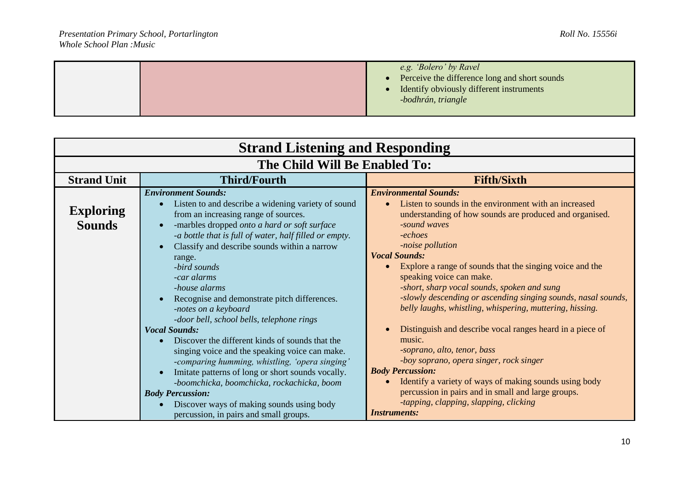|--|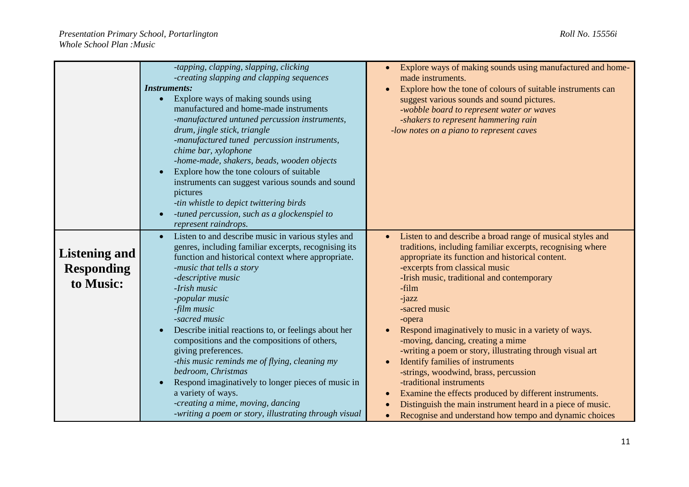|                                                        | -tapping, clapping, slapping, clicking<br>-creating slapping and clapping sequences<br><b>Instruments:</b><br>Explore ways of making sounds using<br>manufactured and home-made instruments<br>-manufactured untuned percussion instruments,<br>drum, jingle stick, triangle<br>-manufactured tuned percussion instruments,<br>chime bar, xylophone<br>-home-made, shakers, beads, wooden objects<br>Explore how the tone colours of suitable<br>instruments can suggest various sounds and sound<br>pictures<br>-tin whistle to depict twittering birds<br>-tuned percussion, such as a glockenspiel to<br>represent raindrops.                                      | Explore ways of making sounds using manufactured and home-<br>made instruments.<br>Explore how the tone of colours of suitable instruments can<br>suggest various sounds and sound pictures.<br>-wobble board to represent water or waves<br>-shakers to represent hammering rain<br>-low notes on a piano to represent caves                                                                                                                                                                                                                                                                                                                                                                                                                                         |
|--------------------------------------------------------|-----------------------------------------------------------------------------------------------------------------------------------------------------------------------------------------------------------------------------------------------------------------------------------------------------------------------------------------------------------------------------------------------------------------------------------------------------------------------------------------------------------------------------------------------------------------------------------------------------------------------------------------------------------------------|-----------------------------------------------------------------------------------------------------------------------------------------------------------------------------------------------------------------------------------------------------------------------------------------------------------------------------------------------------------------------------------------------------------------------------------------------------------------------------------------------------------------------------------------------------------------------------------------------------------------------------------------------------------------------------------------------------------------------------------------------------------------------|
| <b>Listening and</b><br><b>Responding</b><br>to Music: | Listen to and describe music in various styles and<br>genres, including familiar excerpts, recognising its<br>function and historical context where appropriate.<br>-music that tells a story<br>-descriptive music<br>-Irish music<br>-popular music<br>-film music<br>-sacred music<br>Describe initial reactions to, or feelings about her<br>compositions and the compositions of others,<br>giving preferences.<br>-this music reminds me of flying, cleaning my<br>bedroom, Christmas<br>Respond imaginatively to longer pieces of music in<br>a variety of ways.<br>-creating a mime, moving, dancing<br>-writing a poem or story, illustrating through visual | Listen to and describe a broad range of musical styles and<br>traditions, including familiar excerpts, recognising where<br>appropriate its function and historical content.<br>-excerpts from classical music<br>-Irish music, traditional and contemporary<br>-film<br>-jazz<br>-sacred music<br>-opera<br>Respond imaginatively to music in a variety of ways.<br>-moving, dancing, creating a mime<br>-writing a poem or story, illustrating through visual art<br><b>Identify families of instruments</b><br>-strings, woodwind, brass, percussion<br>-traditional instruments<br>Examine the effects produced by different instruments.<br>Distinguish the main instrument heard in a piece of music.<br>Recognise and understand how tempo and dynamic choices |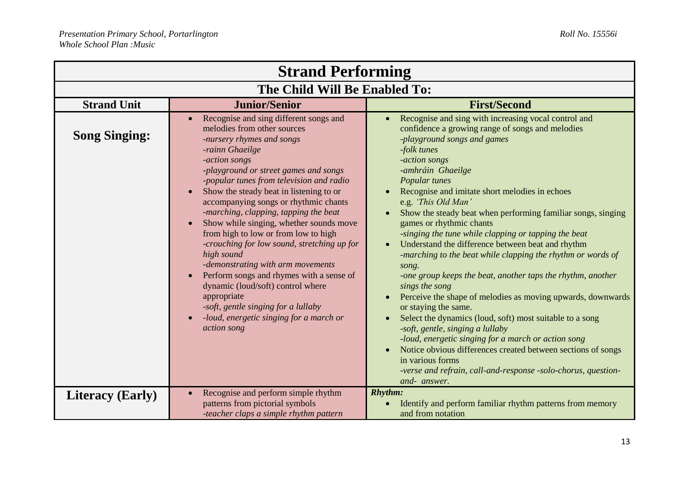| <b>Strand Performing</b>      |                                                                                                                                                                                                                                                                                                                                                                                                                                                                                                                                                                                                                                                                                                                                                                          |                                                                                                                                                                                                                                                                                                                                                                                                                                                                                                                                                                                                                                                                                                                                                                                                                                                                                                                                                                                                         |
|-------------------------------|--------------------------------------------------------------------------------------------------------------------------------------------------------------------------------------------------------------------------------------------------------------------------------------------------------------------------------------------------------------------------------------------------------------------------------------------------------------------------------------------------------------------------------------------------------------------------------------------------------------------------------------------------------------------------------------------------------------------------------------------------------------------------|---------------------------------------------------------------------------------------------------------------------------------------------------------------------------------------------------------------------------------------------------------------------------------------------------------------------------------------------------------------------------------------------------------------------------------------------------------------------------------------------------------------------------------------------------------------------------------------------------------------------------------------------------------------------------------------------------------------------------------------------------------------------------------------------------------------------------------------------------------------------------------------------------------------------------------------------------------------------------------------------------------|
| The Child Will Be Enabled To: |                                                                                                                                                                                                                                                                                                                                                                                                                                                                                                                                                                                                                                                                                                                                                                          |                                                                                                                                                                                                                                                                                                                                                                                                                                                                                                                                                                                                                                                                                                                                                                                                                                                                                                                                                                                                         |
| <b>Strand Unit</b>            | <b>Junior/Senior</b>                                                                                                                                                                                                                                                                                                                                                                                                                                                                                                                                                                                                                                                                                                                                                     | <b>First/Second</b>                                                                                                                                                                                                                                                                                                                                                                                                                                                                                                                                                                                                                                                                                                                                                                                                                                                                                                                                                                                     |
| <b>Song Singing:</b>          | Recognise and sing different songs and<br>melodies from other sources<br>-nursery rhymes and songs<br>-rainn Ghaeilge<br>-action songs<br>-playground or street games and songs<br>-popular tunes from television and radio<br>Show the steady beat in listening to or<br>$\bullet$<br>accompanying songs or rhythmic chants<br>-marching, clapping, tapping the beat<br>Show while singing, whether sounds move<br>from high to low or from low to high<br>-crouching for low sound, stretching up for<br>high sound<br>-demonstrating with arm movements<br>Perform songs and rhymes with a sense of<br>$\bullet$<br>dynamic (loud/soft) control where<br>appropriate<br>-soft, gentle singing for a lullaby<br>-loud, energetic singing for a march or<br>action song | Recognise and sing with increasing vocal control and<br>confidence a growing range of songs and melodies<br>-playground songs and games<br>-folk tunes<br>-action songs<br>-amhráin Ghaeilge<br>Popular tunes<br>Recognise and imitate short melodies in echoes<br>e.g. 'This Old Man'<br>Show the steady beat when performing familiar songs, singing<br>games or rhythmic chants<br>-singing the tune while clapping or tapping the beat<br>Understand the difference between beat and rhythm<br>$\bullet$<br>-marching to the beat while clapping the rhythm or words of<br>song.<br>-one group keeps the beat, another taps the rhythm, another<br>sings the song<br>Perceive the shape of melodies as moving upwards, downwards<br>or staying the same.<br>Select the dynamics (loud, soft) most suitable to a song<br>-soft, gentle, singing a lullaby<br>-loud, energetic singing for a march or action song<br>Notice obvious differences created between sections of songs<br>in various forms |
|                               |                                                                                                                                                                                                                                                                                                                                                                                                                                                                                                                                                                                                                                                                                                                                                                          | -verse and refrain, call-and-response -solo-chorus, question-<br>and- answer.                                                                                                                                                                                                                                                                                                                                                                                                                                                                                                                                                                                                                                                                                                                                                                                                                                                                                                                           |
| <b>Literacy (Early)</b>       | Recognise and perform simple rhythm<br>patterns from pictorial symbols<br>-teacher claps a simple rhythm pattern                                                                                                                                                                                                                                                                                                                                                                                                                                                                                                                                                                                                                                                         | <b>Rhythm:</b><br>Identify and perform familiar rhythm patterns from memory<br>and from notation                                                                                                                                                                                                                                                                                                                                                                                                                                                                                                                                                                                                                                                                                                                                                                                                                                                                                                        |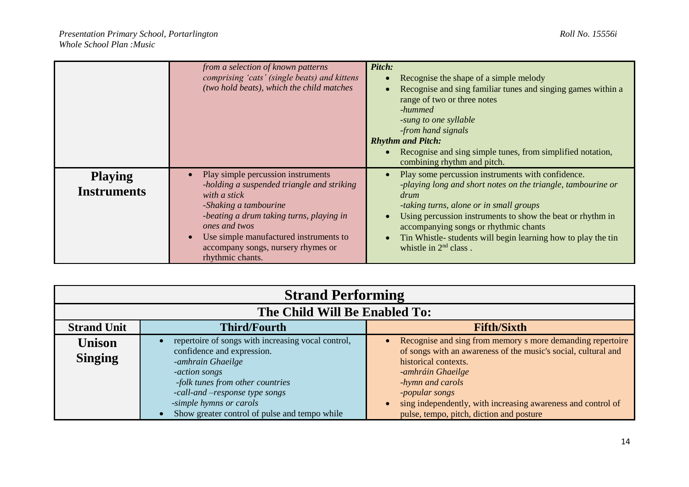|                                      | from a selection of known patterns<br>comprising 'cats' (single beats) and kittens<br>(two hold beats), which the child matches                                                                                                                                                            | Pitch:<br>Recognise the shape of a simple melody<br>Recognise and sing familiar tunes and singing games within a<br>range of two or three notes<br>-hummed<br>-sung to one syllable<br>-from hand signals<br><b>Rhythm and Pitch:</b>                                                                                                                                   |
|--------------------------------------|--------------------------------------------------------------------------------------------------------------------------------------------------------------------------------------------------------------------------------------------------------------------------------------------|-------------------------------------------------------------------------------------------------------------------------------------------------------------------------------------------------------------------------------------------------------------------------------------------------------------------------------------------------------------------------|
|                                      |                                                                                                                                                                                                                                                                                            | Recognise and sing simple tunes, from simplified notation,<br>combining rhythm and pitch.                                                                                                                                                                                                                                                                               |
| <b>Playing</b><br><b>Instruments</b> | Play simple percussion instruments<br>-holding a suspended triangle and striking<br>with a stick<br>-Shaking a tambourine<br>-beating a drum taking turns, playing in<br>ones and twos<br>Use simple manufactured instruments to<br>accompany songs, nursery rhymes or<br>rhythmic chants. | Play some percussion instruments with confidence.<br>-playing long and short notes on the triangle, tambourine or<br>drum<br>-taking turns, alone or in small groups<br>Using percussion instruments to show the beat or rhythm in<br>accompanying songs or rhythmic chants<br>Tin Whistle- students will begin learning how to play the tin<br>whistle in $2nd$ class. |

| <b>Strand Performing</b>        |                                                                                                                                                                                                                                                                          |                                                                                                                                                                                                                                                                                                                             |
|---------------------------------|--------------------------------------------------------------------------------------------------------------------------------------------------------------------------------------------------------------------------------------------------------------------------|-----------------------------------------------------------------------------------------------------------------------------------------------------------------------------------------------------------------------------------------------------------------------------------------------------------------------------|
| The Child Will Be Enabled To:   |                                                                                                                                                                                                                                                                          |                                                                                                                                                                                                                                                                                                                             |
| <b>Strand Unit</b>              | <b>Third/Fourth</b>                                                                                                                                                                                                                                                      | <b>Fifth/Sixth</b>                                                                                                                                                                                                                                                                                                          |
| <b>Unison</b><br><b>Singing</b> | repertoire of songs with increasing vocal control,<br>confidence and expression.<br>-amhrain Ghaeilge<br>-action songs<br>-folk tunes from other countries<br>-call-and -response type songs<br>-simple hymns or carols<br>Show greater control of pulse and tempo while | Recognise and sing from memory s more demanding repertoire<br>of songs with an awareness of the music's social, cultural and<br>historical contexts.<br>-amhráin Ghaeilge<br>-hymn and carols<br>-popular songs<br>sing independently, with increasing awareness and control of<br>pulse, tempo, pitch, diction and posture |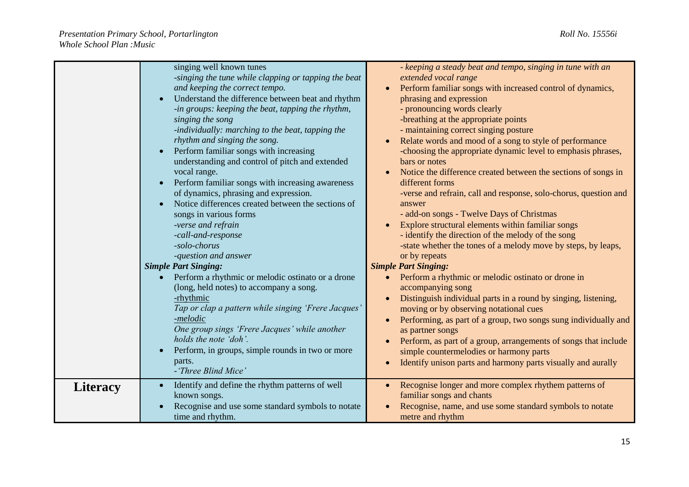|                 | singing well known tunes<br>-singing the tune while clapping or tapping the beat<br>and keeping the correct tempo.<br>Understand the difference between beat and rhythm<br>-in groups: keeping the beat, tapping the rhythm,<br>singing the song<br>-individually: marching to the beat, tapping the<br>rhythm and singing the song.<br>Perform familiar songs with increasing<br>understanding and control of pitch and extended<br>vocal range.<br>Perform familiar songs with increasing awareness<br>of dynamics, phrasing and expression.<br>Notice differences created between the sections of<br>songs in various forms | - keeping a steady beat and tempo, singing in tune with an<br>extended vocal range<br>Perform familiar songs with increased control of dynamics,<br>phrasing and expression<br>- pronouncing words clearly<br>-breathing at the appropriate points<br>- maintaining correct singing posture<br>Relate words and mood of a song to style of performance<br>-choosing the appropriate dynamic level to emphasis phrases,<br>bars or notes<br>Notice the difference created between the sections of songs in<br>different forms<br>-verse and refrain, call and response, solo-chorus, question and<br>answer<br>- add-on songs - Twelve Days of Christmas |
|-----------------|--------------------------------------------------------------------------------------------------------------------------------------------------------------------------------------------------------------------------------------------------------------------------------------------------------------------------------------------------------------------------------------------------------------------------------------------------------------------------------------------------------------------------------------------------------------------------------------------------------------------------------|---------------------------------------------------------------------------------------------------------------------------------------------------------------------------------------------------------------------------------------------------------------------------------------------------------------------------------------------------------------------------------------------------------------------------------------------------------------------------------------------------------------------------------------------------------------------------------------------------------------------------------------------------------|
|                 | -verse and refrain<br>-call-and-response<br>-solo-chorus<br>-question and answer                                                                                                                                                                                                                                                                                                                                                                                                                                                                                                                                               | Explore structural elements within familiar songs<br>- identify the direction of the melody of the song<br>-state whether the tones of a melody move by steps, by leaps,<br>or by repeats                                                                                                                                                                                                                                                                                                                                                                                                                                                               |
|                 | <b>Simple Part Singing:</b><br>Perform a rhythmic or melodic ostinato or a drone<br>(long, held notes) to accompany a song.<br>-rhythmic<br>Tap or clap a pattern while singing 'Frere Jacques'<br>-melodic<br>One group sings 'Frere Jacques' while another<br>holds the note 'doh'.<br>Perform, in groups, simple rounds in two or more<br>parts.<br>- 'Three Blind Mice'                                                                                                                                                                                                                                                    | <b>Simple Part Singing:</b><br>Perform a rhythmic or melodic ostinato or drone in<br>accompanying song<br>Distinguish individual parts in a round by singing, listening,<br>moving or by observing notational cues<br>Performing, as part of a group, two songs sung individually and<br>as partner songs<br>Perform, as part of a group, arrangements of songs that include<br>simple countermelodies or harmony parts<br>Identify unison parts and harmony parts visually and aurally                                                                                                                                                                 |
| <b>Literacy</b> | Identify and define the rhythm patterns of well<br>known songs.<br>Recognise and use some standard symbols to notate<br>time and rhythm.                                                                                                                                                                                                                                                                                                                                                                                                                                                                                       | Recognise longer and more complex rhythem patterns of<br>familiar songs and chants<br>Recognise, name, and use some standard symbols to notate<br>metre and rhythm                                                                                                                                                                                                                                                                                                                                                                                                                                                                                      |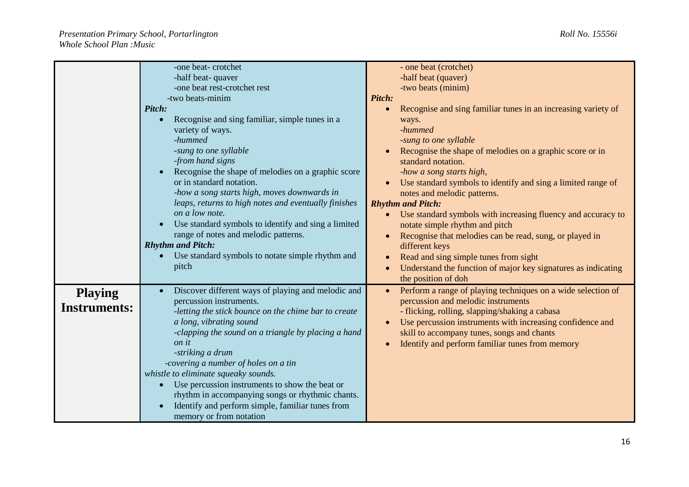|                                       | -one beat-crotchet<br>-half beat- quaver                                                                                                                                                                                                                                                                                                                                                                                                                                                                                                                                                    | - one beat (crotchet)<br>-half beat (quaver)                                                                                                                                                                                                                                                                                                                                                                                                                                                                                                                                                                                                                                              |
|---------------------------------------|---------------------------------------------------------------------------------------------------------------------------------------------------------------------------------------------------------------------------------------------------------------------------------------------------------------------------------------------------------------------------------------------------------------------------------------------------------------------------------------------------------------------------------------------------------------------------------------------|-------------------------------------------------------------------------------------------------------------------------------------------------------------------------------------------------------------------------------------------------------------------------------------------------------------------------------------------------------------------------------------------------------------------------------------------------------------------------------------------------------------------------------------------------------------------------------------------------------------------------------------------------------------------------------------------|
|                                       | -one beat rest-crotchet rest<br>-two beats-minim<br>Pitch:<br>Recognise and sing familiar, simple tunes in a<br>variety of ways.<br>-hummed<br>-sung to one syllable<br>-from hand signs<br>Recognise the shape of melodies on a graphic score<br>or in standard notation.<br>-how a song starts high, moves downwards in<br>leaps, returns to high notes and eventually finishes<br>on a low note.<br>Use standard symbols to identify and sing a limited<br>range of notes and melodic patterns.<br><b>Rhythm and Pitch:</b><br>Use standard symbols to notate simple rhythm and<br>pitch | -two beats (minim)<br>Pitch:<br>Recognise and sing familiar tunes in an increasing variety of<br>ways.<br>-hummed<br>-sung to one syllable<br>Recognise the shape of melodies on a graphic score or in<br>standard notation.<br>-how a song starts high,<br>Use standard symbols to identify and sing a limited range of<br>notes and melodic patterns.<br><b>Rhythm and Pitch:</b><br>Use standard symbols with increasing fluency and accuracy to<br>notate simple rhythm and pitch<br>Recognise that melodies can be read, sung, or played in<br>$\bullet$<br>different keys<br>Read and sing simple tunes from sight<br>Understand the function of major key signatures as indicating |
| <b>Playing</b><br><b>Instruments:</b> | Discover different ways of playing and melodic and<br>percussion instruments.<br>-letting the stick bounce on the chime bar to create<br>a long, vibrating sound<br>-clapping the sound on a triangle by placing a hand<br>on it<br>-striking a drum<br>-covering a number of holes on a tin<br>whistle to eliminate squeaky sounds.<br>Use percussion instruments to show the beat or<br>rhythm in accompanying songs or rhythmic chants.<br>Identify and perform simple, familiar tunes from<br>memory or from notation                                                                   | the position of doh<br>Perform a range of playing techniques on a wide selection of<br>$\bullet$<br>percussion and melodic instruments<br>- flicking, rolling, slapping/shaking a cabasa<br>Use percussion instruments with increasing confidence and<br>$\bullet$<br>skill to accompany tunes, songs and chants<br>Identify and perform familiar tunes from memory<br>$\bullet$                                                                                                                                                                                                                                                                                                          |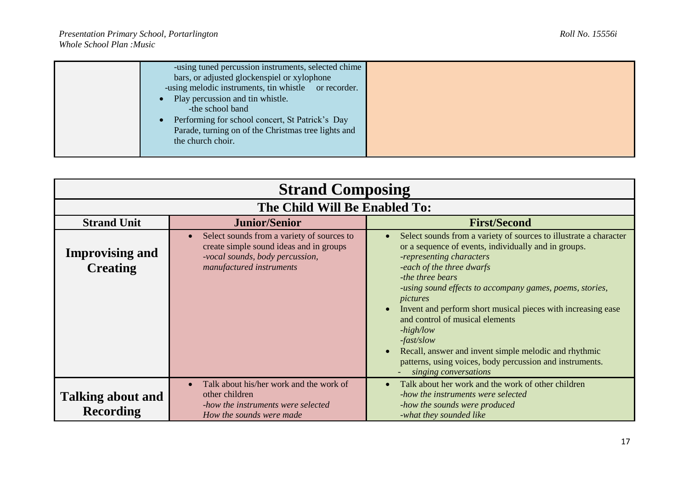| -using tuned percussion instruments, selected chime  |  |
|------------------------------------------------------|--|
| bars, or adjusted glockenspiel or xylophone          |  |
| -using melodic instruments, tin whistle or recorder. |  |
| Play percussion and tin whistle.                     |  |
| -the school band                                     |  |
| Performing for school concert, St Patrick's Day      |  |
| Parade, turning on of the Christmas tree lights and  |  |
| the church choir.                                    |  |
|                                                      |  |

| <b>Strand Composing</b>                      |                                                                                                                                                                   |                                                                                                                                                                                                                                                                                                                                                                                                                                                                                                                                                                |
|----------------------------------------------|-------------------------------------------------------------------------------------------------------------------------------------------------------------------|----------------------------------------------------------------------------------------------------------------------------------------------------------------------------------------------------------------------------------------------------------------------------------------------------------------------------------------------------------------------------------------------------------------------------------------------------------------------------------------------------------------------------------------------------------------|
|                                              | The Child Will Be Enabled To:                                                                                                                                     |                                                                                                                                                                                                                                                                                                                                                                                                                                                                                                                                                                |
| <b>Strand Unit</b>                           | <b>Junior/Senior</b>                                                                                                                                              | <b>First/Second</b>                                                                                                                                                                                                                                                                                                                                                                                                                                                                                                                                            |
| <b>Improvising and</b><br><b>Creating</b>    | Select sounds from a variety of sources to<br>$\bullet$<br>create simple sound ideas and in groups<br>-vocal sounds, body percussion,<br>manufactured instruments | Select sounds from a variety of sources to illustrate a character<br>or a sequence of events, individually and in groups.<br>-representing characters<br>-each of the three dwarfs<br>-the three bears<br>-using sound effects to accompany games, poems, stories,<br>pictures<br>Invent and perform short musical pieces with increasing ease<br>and control of musical elements<br>$-high/low$<br>$-fast/slow$<br>Recall, answer and invent simple melodic and rhythmic<br>patterns, using voices, body percussion and instruments.<br>singing conversations |
| <b>Talking about and</b><br><b>Recording</b> | Talk about his/her work and the work of<br>$\bullet$<br>other children<br>-how the instruments were selected<br>How the sounds were made                          | Talk about her work and the work of other children<br>-how the instruments were selected<br>-how the sounds were produced<br>-what they sounded like                                                                                                                                                                                                                                                                                                                                                                                                           |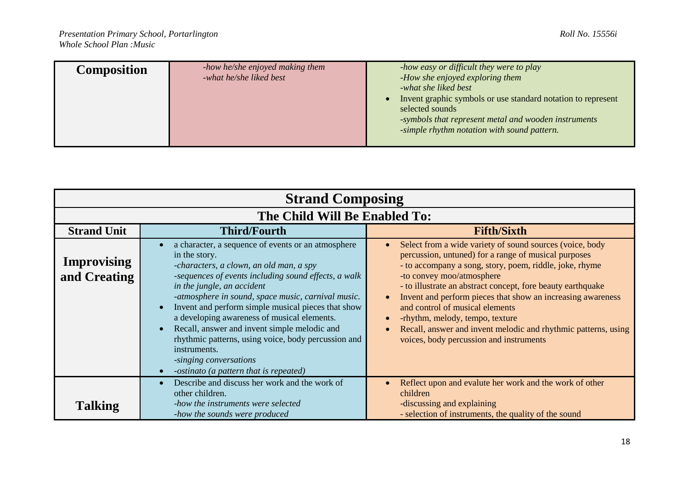| <b>Composition</b> | -how he/she enjoyed making them<br>-what he/she liked best | -how easy or difficult they were to play<br>-How she enjoyed exploring them<br>-what she liked best<br>Invent graphic symbols or use standard notation to represent<br>selected sounds<br>-symbols that represent metal and wooden instruments<br>-simple rhythm notation with sound pattern. |
|--------------------|------------------------------------------------------------|-----------------------------------------------------------------------------------------------------------------------------------------------------------------------------------------------------------------------------------------------------------------------------------------------|
|                    |                                                            |                                                                                                                                                                                                                                                                                               |

| <b>Strand Composing</b>            |                                                                                                                                                                                                                                                                                                                                                                                                                                                                                                                                                            |                                                                                                                                                                                                                                                                                                                                                                                                                                                                                                                           |  |
|------------------------------------|------------------------------------------------------------------------------------------------------------------------------------------------------------------------------------------------------------------------------------------------------------------------------------------------------------------------------------------------------------------------------------------------------------------------------------------------------------------------------------------------------------------------------------------------------------|---------------------------------------------------------------------------------------------------------------------------------------------------------------------------------------------------------------------------------------------------------------------------------------------------------------------------------------------------------------------------------------------------------------------------------------------------------------------------------------------------------------------------|--|
|                                    | The Child Will Be Enabled To:                                                                                                                                                                                                                                                                                                                                                                                                                                                                                                                              |                                                                                                                                                                                                                                                                                                                                                                                                                                                                                                                           |  |
| <b>Strand Unit</b>                 | <b>Third/Fourth</b>                                                                                                                                                                                                                                                                                                                                                                                                                                                                                                                                        | <b>Fifth/Sixth</b>                                                                                                                                                                                                                                                                                                                                                                                                                                                                                                        |  |
| <b>Improvising</b><br>and Creating | a character, a sequence of events or an atmosphere<br>in the story.<br>-characters, a clown, an old man, a spy<br>-sequences of events including sound effects, a walk<br>in the jungle, an accident<br>-atmosphere in sound, space music, carnival music.<br>Invent and perform simple musical pieces that show<br>a developing awareness of musical elements.<br>Recall, answer and invent simple melodic and<br>rhythmic patterns, using voice, body percussion and<br>instruments.<br>-singing conversations<br>-ostinato (a pattern that is repeated) | Select from a wide variety of sound sources (voice, body<br>percussion, untuned) for a range of musical purposes<br>- to accompany a song, story, poem, riddle, joke, rhyme<br>-to convey moo/atmosphere<br>- to illustrate an abstract concept, fore beauty earthquake<br>Invent and perform pieces that show an increasing awareness<br>and control of musical elements<br>-rhythm, melody, tempo, texture<br>Recall, answer and invent melodic and rhythmic patterns, using<br>voices, body percussion and instruments |  |
|                                    | Describe and discuss her work and the work of<br>other children.                                                                                                                                                                                                                                                                                                                                                                                                                                                                                           | Reflect upon and evalute her work and the work of other<br>children                                                                                                                                                                                                                                                                                                                                                                                                                                                       |  |
| <b>Talking</b>                     | -how the instruments were selected<br>-how the sounds were produced                                                                                                                                                                                                                                                                                                                                                                                                                                                                                        | -discussing and explaining<br>- selection of instruments, the quality of the sound                                                                                                                                                                                                                                                                                                                                                                                                                                        |  |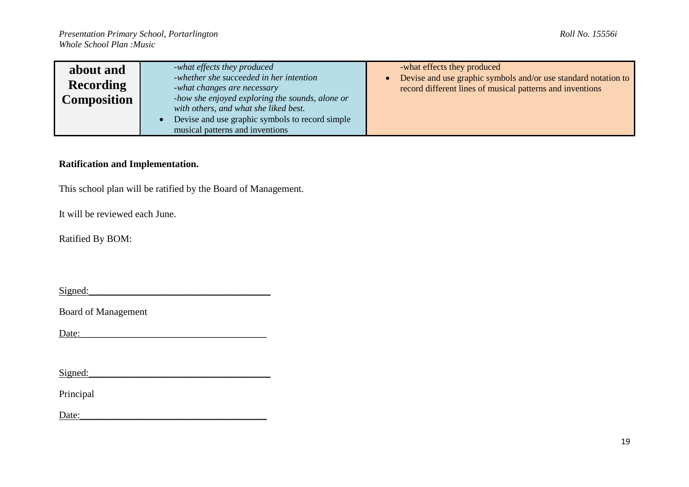| about and          | -what effects they produced                                                              | -what effects they produced                                                                                                 |
|--------------------|------------------------------------------------------------------------------------------|-----------------------------------------------------------------------------------------------------------------------------|
| <b>Recording</b>   | -whether she succeeded in her intention<br>-what changes are necessary                   | Devise and use graphic symbols and/or use standard notation to<br>record different lines of musical patterns and inventions |
| <b>Composition</b> | -how she enjoyed exploring the sounds, alone or<br>with others, and what she liked best. |                                                                                                                             |
|                    | Devise and use graphic symbols to record simple<br>musical patterns and inventions       |                                                                                                                             |

## **Ratification and Implementation.**

This school plan will be ratified by the Board of Management.

It will be reviewed each June.

Ratified By BOM:

 $Signed:$ 

Board of Management

Date:\_\_\_\_\_\_\_\_\_\_\_\_\_\_\_\_\_\_\_\_\_\_\_\_\_\_\_\_\_\_\_\_\_\_\_\_\_\_

 $Signed:$ 

Principal

 $Date:$